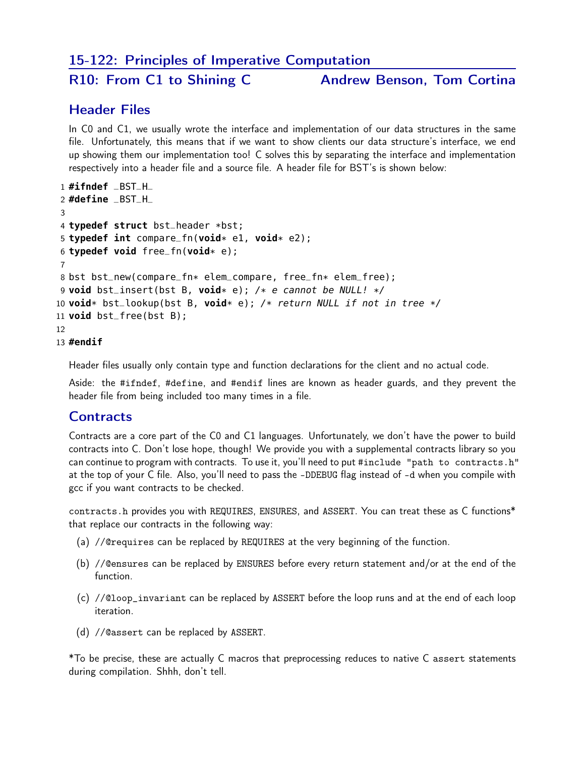### 15-122: Principles of Imperative Computation

R10: From C1 to Shining C Andrew Benson, Tom Cortina

### Header Files

In C0 and C1, we usually wrote the interface and implementation of our data structures in the same file. Unfortunately, this means that if we want to show clients our data structure's interface, we end up showing them our implementation too! C solves this by separating the interface and implementation respectively into a header file and a source file. A header file for BST's is shown below:

```
1 #ifndef _BST_H_
2 #define _BST_H_
3
4 typedef struct bst_header *bst;
5 typedef int compare_fn(void* e1, void* e2);
6 typedef void free_fn(void* e);
7
8 bst bst_new(compare_fn* elem_compare, free_fn* elem_free);
9 void bst_insert(bst B, void* e); /* e cannot be NULL! */
10 void* bst_lookup(bst B, void* e); /* return NULL if not in tree */
11 void bst_free(bst B);
12
```
13 **#endif**

Header files usually only contain type and function declarations for the client and no actual code.

Aside: the #ifndef, #define, and #endif lines are known as header guards, and they prevent the header file from being included too many times in a file.

### **Contracts**

Contracts are a core part of the C0 and C1 languages. Unfortunately, we don't have the power to build contracts into C. Don't lose hope, though! We provide you with a supplemental contracts library so you can continue to program with contracts. To use it, you'll need to put #include "path to contracts.h" at the top of your C file. Also, you'll need to pass the -DDEBUG flag instead of -d when you compile with gcc if you want contracts to be checked.

contracts.h provides you with REQUIRES, ENSURES, and ASSERT. You can treat these as C functions\* that replace our contracts in the following way:

- (a) //@requires can be replaced by REQUIRES at the very beginning of the function.
- (b) //@ensures can be replaced by ENSURES before every return statement and/or at the end of the function.
- (c) //@loop\_invariant can be replaced by ASSERT before the loop runs and at the end of each loop iteration.
- (d) //@assert can be replaced by ASSERT.

\*To be precise, these are actually C macros that preprocessing reduces to native C assert statements during compilation. Shhh, don't tell.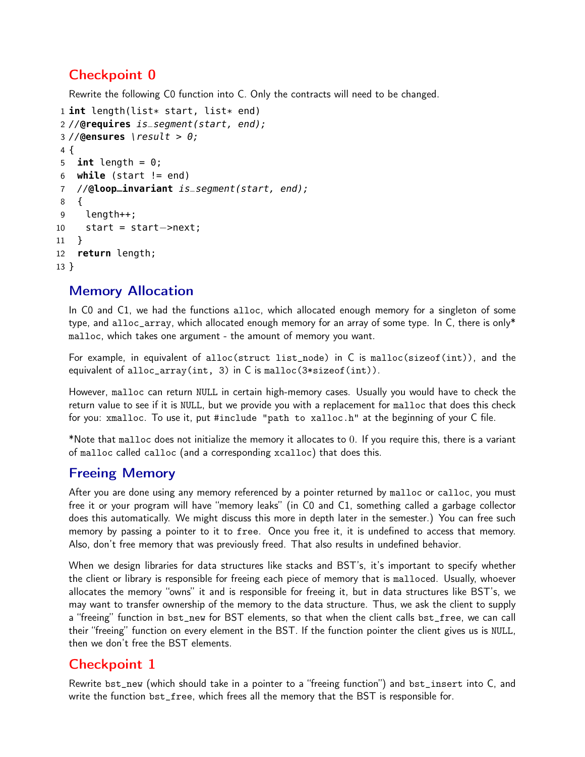# Checkpoint 0

Rewrite the following C0 function into C. Only the contracts will need to be changed.

```
1 int length(list* start, list* end)
2 //@requires is_segment(start, end);
3 //@ensures \result > 0;
4 {
5 int length = 0;
6 while (start != end)
7 //@loop_invariant is_segment(start, end);
8 {
9 length++;
10 start = start−>next;
11 }
12 return length;
13 }
```
### Memory Allocation

In C0 and C1, we had the functions alloc, which allocated enough memory for a singleton of some type, and alloc\_array, which allocated enough memory for an array of some type. In C, there is only\* malloc, which takes one argument - the amount of memory you want.

For example, in equivalent of alloc(struct list\_node) in C is malloc(sizeof(int)), and the equivalent of alloc\_array(int, 3) in C is malloc(3\*sizeof(int)).

However, malloc can return NULL in certain high-memory cases. Usually you would have to check the return value to see if it is NULL, but we provide you with a replacement for malloc that does this check for you: xmalloc. To use it, put #include "path to xalloc.h" at the beginning of your C file.

\*Note that malloc does not initialize the memory it allocates to 0. If you require this, there is a variant of malloc called calloc (and a corresponding xcalloc) that does this.

## Freeing Memory

After you are done using any memory referenced by a pointer returned by malloc or calloc, you must free it or your program will have "memory leaks" (in C0 and C1, something called a garbage collector does this automatically. We might discuss this more in depth later in the semester.) You can free such memory by passing a pointer to it to free. Once you free it, it is undefined to access that memory. Also, don't free memory that was previously freed. That also results in undefined behavior.

When we design libraries for data structures like stacks and BST's, it's important to specify whether the client or library is responsible for freeing each piece of memory that is malloced. Usually, whoever allocates the memory "owns" it and is responsible for freeing it, but in data structures like BST's, we may want to transfer ownership of the memory to the data structure. Thus, we ask the client to supply a "freeing" function in bst\_new for BST elements, so that when the client calls bst\_free, we can call their "freeing" function on every element in the BST. If the function pointer the client gives us is NULL, then we don't free the BST elements.

## Checkpoint 1

Rewrite bst\_new (which should take in a pointer to a "freeing function") and bst\_insert into C, and write the function bst\_free, which frees all the memory that the BST is responsible for.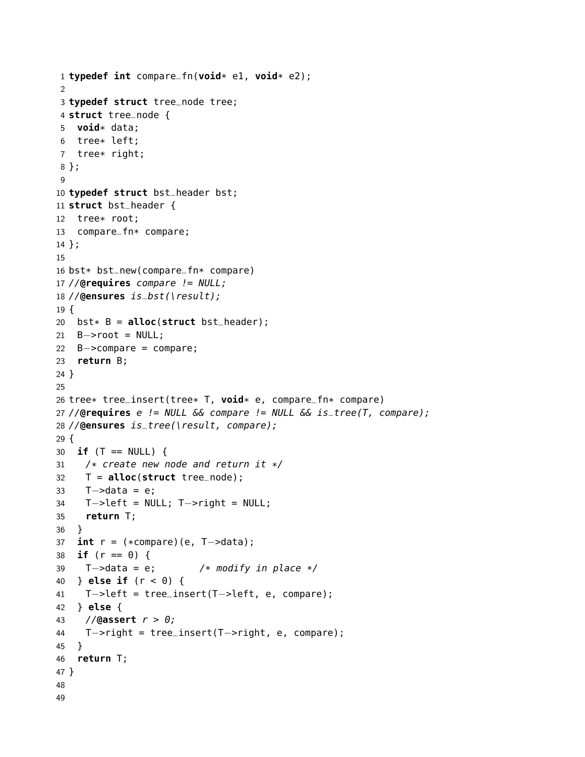```
1 typedef int compare_fn(void* e1, void* e2);
2
3 typedef struct tree_node tree;
4 struct tree_node {
5 void* data;
6 tree* left;
7 tree* right;
8 };
9
10 typedef struct bst_header bst;
11 struct bst_header {
12 tree* root;
13 compare_fn* compare;
14 };
15
16 bst* bst_new(compare_fn* compare)
17 //@requires compare != NULL;
18 //@ensures is_bst(\result);
19 {
20 bst* B = alloc(struct bst_header);
21 B->root = NULL;
22 B−>compare = compare;
23 return B;
24 }
25
26 tree* tree_insert(tree* T, void* e, compare_fn* compare)
27 //@requires e != NULL && compare != NULL && is_tree(T, compare);
28 //@ensures is_tree(\result, compare);
29 {
30 if (T == NULL) {
31 /* create new node and return it */
32 T = alloc(struct tree_node);
33 T−>data = e;
34 T−>left = NULL; T−>right = NULL;
35 return T;
36 }
37 int r = (*compare)(e, T−>data);
38 if (r == 0) {
39 T−>data = e; /* modify in place */
40 } else if (r < 0) {
41 T−>left = tree_insert(T−>left, e, compare);
42 } else {
43 //@assert r > 0;
44 T−>right = tree_insert(T−>right, e, compare);
45 }
46 return T;
47 }
48
49
```